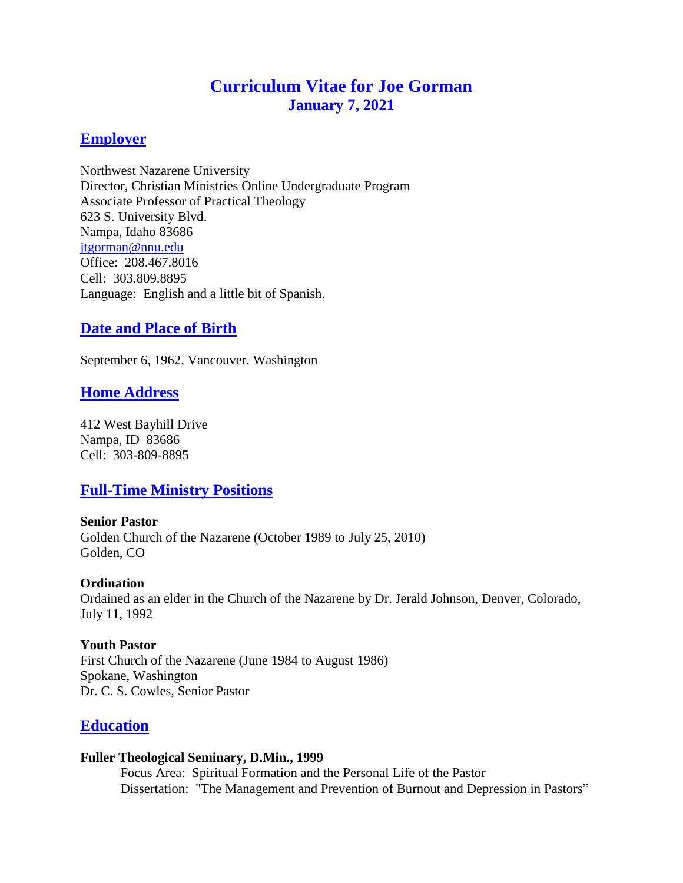# **Curriculum Vitae for Joe Gorman January 7, 2021**

### **Employer**

Northwest Nazarene University Director, Christian Ministries Online Undergraduate Program Associate Professor of Practical Theology 623 S. University Blvd. Nampa, Idaho 83686 [jtgorman@nnu.edu](mailto:jtgorman@nnu.edu) Office: 208.467.8016 Cell: 303.809.8895 Language: English and a little bit of Spanish.

## **Date and Place of Birth**

September 6, 1962, Vancouver, Washington

### **Home Address**

412 West Bayhill Drive Nampa, ID 83686 Cell: 303-809-8895

# **Full-Time Ministry Positions**

**Senior Pastor** Golden Church of the Nazarene (October 1989 to July 25, 2010) Golden, CO

#### **Ordination** Ordained as an elder in the Church of the Nazarene by Dr. Jerald Johnson, Denver, Colorado, July 11, 1992

### **Youth Pastor**

First Church of the Nazarene (June 1984 to August 1986) Spokane, Washington Dr. C. S. Cowles, Senior Pastor

### **Education**

### **Fuller Theological Seminary, D.Min., 1999**

Focus Area: Spiritual Formation and the Personal Life of the Pastor Dissertation: "The Management and Prevention of Burnout and Depression in Pastors"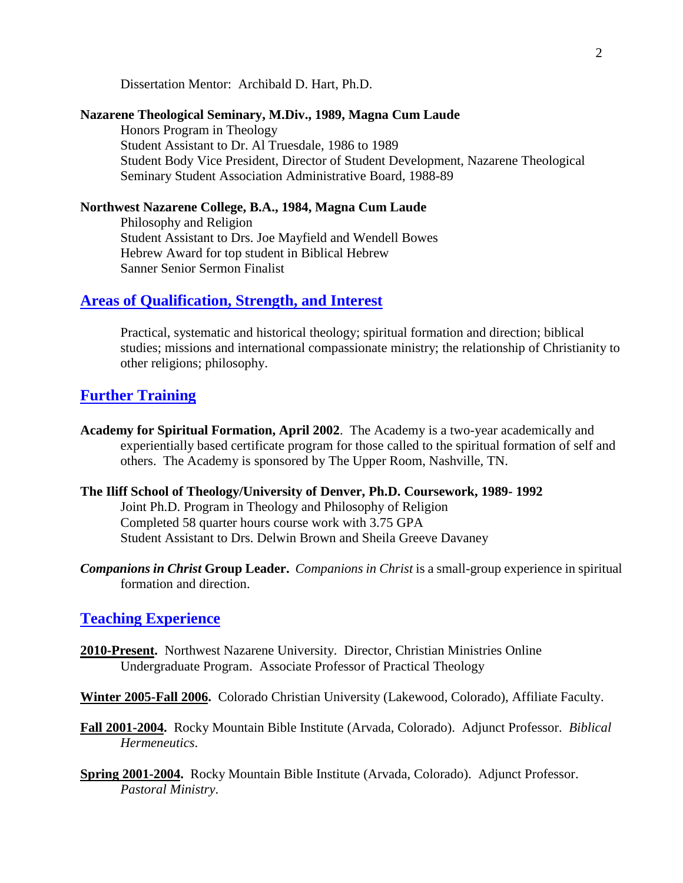Dissertation Mentor: Archibald D. Hart, Ph.D.

#### **Nazarene Theological Seminary, M.Div., 1989, Magna Cum Laude**

Honors Program in Theology Student Assistant to Dr. Al Truesdale, 1986 to 1989 Student Body Vice President, Director of Student Development, Nazarene Theological Seminary Student Association Administrative Board, 1988-89

#### **Northwest Nazarene College, B.A., 1984, Magna Cum Laude**

Philosophy and Religion Student Assistant to Drs. Joe Mayfield and Wendell Bowes Hebrew Award for top student in Biblical Hebrew Sanner Senior Sermon Finalist

### **Areas of Qualification, Strength, and Interest**

Practical, systematic and historical theology; spiritual formation and direction; biblical studies; missions and international compassionate ministry; the relationship of Christianity to other religions; philosophy.

### **Further Training**

- **Academy for Spiritual Formation, April 2002**. The Academy is a two-year academically and experientially based certificate program for those called to the spiritual formation of self and others. The Academy is sponsored by The Upper Room, Nashville, TN.
- **The Iliff School of Theology/University of Denver, Ph.D. Coursework, 1989- 1992** Joint Ph.D. Program in Theology and Philosophy of Religion Completed 58 quarter hours course work with 3.75 GPA Student Assistant to Drs. Delwin Brown and Sheila Greeve Davaney
- *Companions in Christ* **Group Leader.** *Companions in Christ* is a small-group experience in spiritual formation and direction.

#### **Teaching Experience**

- **2010-Present.** Northwest Nazarene University. Director, Christian Ministries Online Undergraduate Program. Associate Professor of Practical Theology
- **Winter 2005-Fall 2006.** Colorado Christian University (Lakewood, Colorado), Affiliate Faculty.
- **Fall 2001-2004.** Rocky Mountain Bible Institute (Arvada, Colorado). Adjunct Professor. *Biblical Hermeneutics*.
- **Spring 2001-2004.** Rocky Mountain Bible Institute (Arvada, Colorado). Adjunct Professor. *Pastoral Ministry*.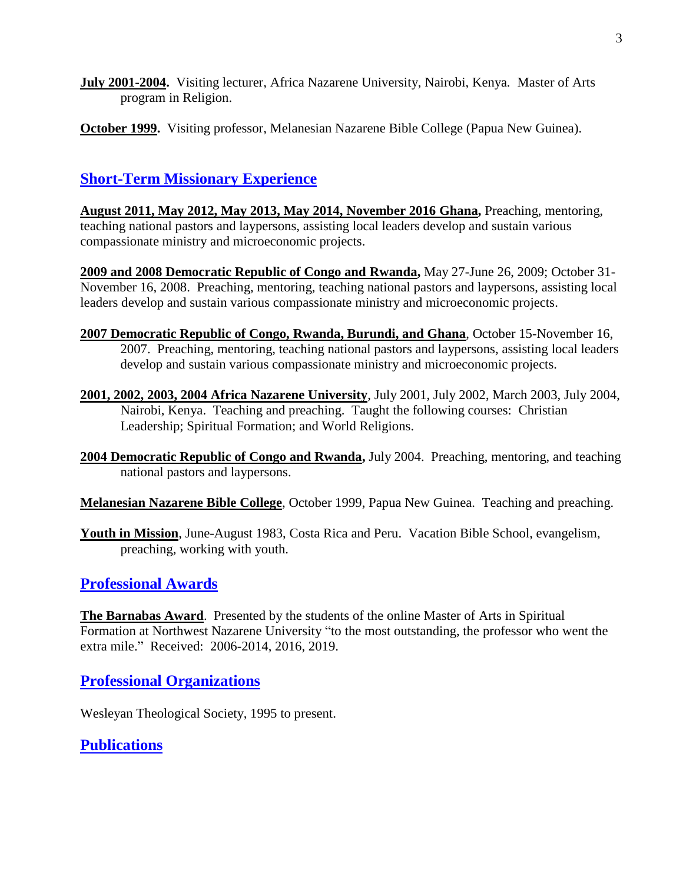- **July 2001-2004.** Visiting lecturer, Africa Nazarene University, Nairobi, Kenya*.* Master of Arts program in Religion.
- **October 1999.** Visiting professor, Melanesian Nazarene Bible College (Papua New Guinea).

# **Short-Term Missionary Experience**

**August 2011, May 2012, May 2013, May 2014, November 2016 Ghana,** Preaching, mentoring, teaching national pastors and laypersons, assisting local leaders develop and sustain various compassionate ministry and microeconomic projects.

**2009 and 2008 Democratic Republic of Congo and Rwanda,** May 27-June 26, 2009; October 31- November 16, 2008. Preaching, mentoring, teaching national pastors and laypersons, assisting local leaders develop and sustain various compassionate ministry and microeconomic projects.

- **2007 Democratic Republic of Congo, Rwanda, Burundi, and Ghana**, October 15-November 16, 2007. Preaching, mentoring, teaching national pastors and laypersons, assisting local leaders develop and sustain various compassionate ministry and microeconomic projects.
- **2001, 2002, 2003, 2004 Africa Nazarene University**, July 2001, July 2002, March 2003, July 2004, Nairobi, Kenya.Teaching and preaching. Taught the following courses: Christian Leadership; Spiritual Formation; and World Religions.
- **2004 Democratic Republic of Congo and Rwanda,** July 2004. Preaching, mentoring, and teaching national pastors and laypersons.

**Melanesian Nazarene Bible College**, October 1999, Papua New Guinea. Teaching and preaching.

**Youth in Mission**, June-August 1983, Costa Rica and Peru. Vacation Bible School, evangelism, preaching, working with youth.

# **Professional Awards**

**The Barnabas Award**. Presented by the students of the online Master of Arts in Spiritual Formation at Northwest Nazarene University "to the most outstanding, the professor who went the extra mile." Received: 2006-2014, 2016, 2019.

### **Professional Organizations**

Wesleyan Theological Society, 1995 to present.

### **Publications**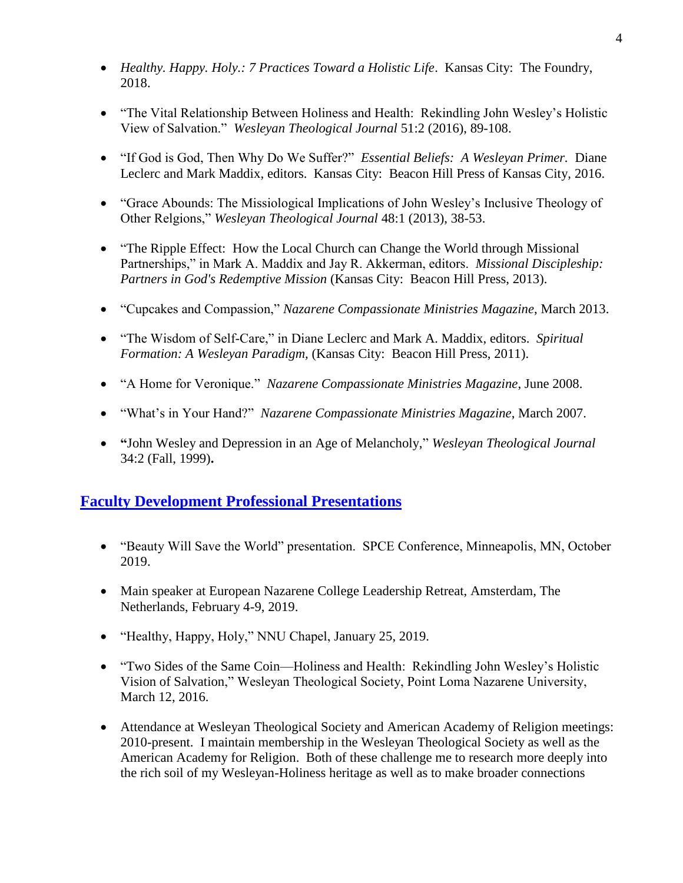- *Healthy. Happy. Holy.: 7 Practices Toward a Holistic Life*. Kansas City: The Foundry, 2018.
- "The Vital Relationship Between Holiness and Health: Rekindling John Wesley's Holistic View of Salvation." *Wesleyan Theological Journal* 51:2 (2016), 89-108.
- "If God is God, Then Why Do We Suffer?" *Essential Beliefs: A Wesleyan Primer.* Diane Leclerc and Mark Maddix, editors. Kansas City: Beacon Hill Press of Kansas City, 2016.
- "Grace Abounds: The Missiological Implications of John Wesley's Inclusive Theology of Other Relgions," *Wesleyan Theological Journal* 48:1 (2013), 38-53.
- "The Ripple Effect: How the Local Church can Change the World through Missional Partnerships," in Mark A. Maddix and Jay R. Akkerman, editors. *Missional Discipleship: Partners in God's Redemptive Mission* (Kansas City: Beacon Hill Press, 2013).
- "Cupcakes and Compassion," *Nazarene Compassionate Ministries Magazine*, March 2013.
- "The Wisdom of Self-Care," in Diane Leclerc and Mark A. Maddix, editors. *Spiritual Formation: A Wesleyan Paradigm,* (Kansas City: Beacon Hill Press, 2011).
- "A Home for Veronique." *Nazarene Compassionate Ministries Magazine*, June 2008.
- "What's in Your Hand?" *Nazarene Compassionate Ministries Magazine*, March 2007.
- **"**John Wesley and Depression in an Age of Melancholy," *Wesleyan Theological Journal*  34:2 (Fall, 1999)**.**

# **Faculty Development Professional Presentations**

- "Beauty Will Save the World" presentation. SPCE Conference, Minneapolis, MN, October 2019.
- Main speaker at European Nazarene College Leadership Retreat, Amsterdam, The Netherlands, February 4-9, 2019.
- "Healthy, Happy, Holy," NNU Chapel, January 25, 2019.
- "Two Sides of the Same Coin—Holiness and Health: Rekindling John Wesley's Holistic Vision of Salvation," Wesleyan Theological Society, Point Loma Nazarene University, March 12, 2016.
- Attendance at Wesleyan Theological Society and American Academy of Religion meetings: 2010-present. I maintain membership in the Wesleyan Theological Society as well as the American Academy for Religion. Both of these challenge me to research more deeply into the rich soil of my Wesleyan-Holiness heritage as well as to make broader connections